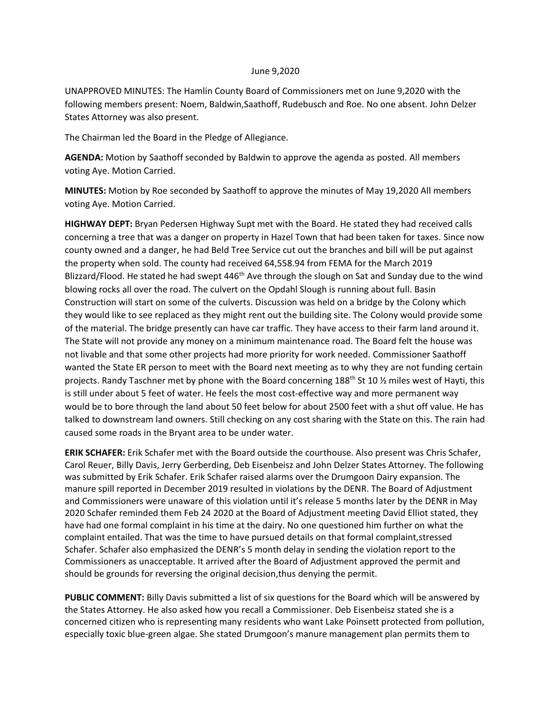## June 9,2020

UNAPPROVED MINUTES: The Hamlin County Board of Commissioners met on June 9,2020 with the following members present: Noem, Baldwin,Saathoff, Rudebusch and Roe. No one absent. John Delzer States Attorney was also present.

The Chairman led the Board in the Pledge of Allegiance.

**AGENDA:** Motion by Saathoff seconded by Baldwin to approve the agenda as posted. All members voting Aye. Motion Carried.

**MINUTES:** Motion by Roe seconded by Saathoff to approve the minutes of May 19,2020 All members voting Aye. Motion Carried.

**HIGHWAY DEPT:** Bryan Pedersen Highway Supt met with the Board. He stated they had received calls concerning a tree that was a danger on property in Hazel Town that had been taken for taxes. Since now county owned and a danger, he had Beld Tree Service cut out the branches and bill will be put against the property when sold. The county had received 64,558.94 from FEMA for the March 2019 Blizzard/Flood. He stated he had swept  $446<sup>th</sup>$  Ave through the slough on Sat and Sunday due to the wind blowing rocks all over the road. The culvert on the Opdahl Slough is running about full. Basin Construction will start on some of the culverts. Discussion was held on a bridge by the Colony which they would like to see replaced as they might rent out the building site. The Colony would provide some of the material. The bridge presently can have car traffic. They have access to their farm land around it. The State will not provide any money on a minimum maintenance road. The Board felt the house was not livable and that some other projects had more priority for work needed. Commissioner Saathoff wanted the State ER person to meet with the Board next meeting as to why they are not funding certain projects. Randy Taschner met by phone with the Board concerning 188<sup>th</sup> St 10 % miles west of Hayti, this is still under about 5 feet of water. He feels the most cost-effective way and more permanent way would be to bore through the land about 50 feet below for about 2500 feet with a shut off value. He has talked to downstream land owners. Still checking on any cost sharing with the State on this. The rain had caused some roads in the Bryant area to be under water.

**ERIK SCHAFER:** Erik Schafer met with the Board outside the courthouse. Also present was Chris Schafer, Carol Reuer, Billy Davis, Jerry Gerberding, Deb Eisenbeisz and John Delzer States Attorney. The following was submitted by Erik Schafer. Erik Schafer raised alarms over the Drumgoon Dairy expansion. The manure spill reported in December 2019 resulted in violations by the DENR. The Board of Adjustment and Commissioners were unaware of this violation until it's release 5 months later by the DENR in May 2020 Schafer reminded them Feb 24 2020 at the Board of Adjustment meeting David Elliot stated, they have had one formal complaint in his time at the dairy. No one questioned him further on what the complaint entailed. That was the time to have pursued details on that formal complaint,stressed Schafer. Schafer also emphasized the DENR's 5 month delay in sending the violation report to the Commissioners as unacceptable. It arrived after the Board of Adjustment approved the permit and should be grounds for reversing the original decision,thus denying the permit.

**PUBLIC COMMENT:** Billy Davis submitted a list of six questions for the Board which will be answered by the States Attorney. He also asked how you recall a Commissioner. Deb Eisenbeisz stated she is a concerned citizen who is representing many residents who want Lake Poinsett protected from pollution, especially toxic blue-green algae. She stated Drumgoon's manure management plan permits them to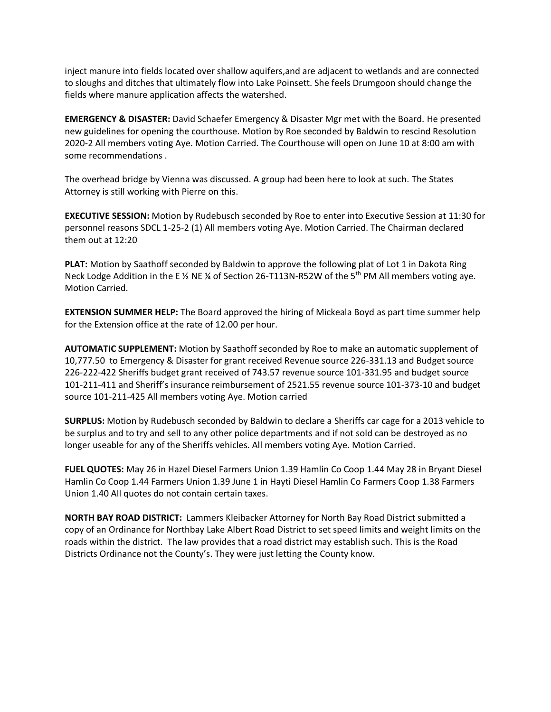inject manure into fields located over shallow aquifers,and are adjacent to wetlands and are connected to sloughs and ditches that ultimately flow into Lake Poinsett. She feels Drumgoon should change the fields where manure application affects the watershed.

**EMERGENCY & DISASTER:** David Schaefer Emergency & Disaster Mgr met with the Board. He presented new guidelines for opening the courthouse. Motion by Roe seconded by Baldwin to rescind Resolution 2020-2 All members voting Aye. Motion Carried. The Courthouse will open on June 10 at 8:00 am with some recommendations .

The overhead bridge by Vienna was discussed. A group had been here to look at such. The States Attorney is still working with Pierre on this.

**EXECUTIVE SESSION:** Motion by Rudebusch seconded by Roe to enter into Executive Session at 11:30 for personnel reasons SDCL 1-25-2 (1) All members voting Aye. Motion Carried. The Chairman declared them out at 12:20

**PLAT:** Motion by Saathoff seconded by Baldwin to approve the following plat of Lot 1 in Dakota Ring Neck Lodge Addition in the E  $\frac{1}{2}$  NE  $\frac{1}{4}$  of Section 26-T113N-R52W of the 5<sup>th</sup> PM All members voting aye. Motion Carried.

**EXTENSION SUMMER HELP:** The Board approved the hiring of Mickeala Boyd as part time summer help for the Extension office at the rate of 12.00 per hour.

**AUTOMATIC SUPPLEMENT:** Motion by Saathoff seconded by Roe to make an automatic supplement of 10,777.50 to Emergency & Disaster for grant received Revenue source 226-331.13 and Budget source 226-222-422 Sheriffs budget grant received of 743.57 revenue source 101-331.95 and budget source 101-211-411 and Sheriff's insurance reimbursement of 2521.55 revenue source 101-373-10 and budget source 101-211-425 All members voting Aye. Motion carried

**SURPLUS:** Motion by Rudebusch seconded by Baldwin to declare a Sheriffs car cage for a 2013 vehicle to be surplus and to try and sell to any other police departments and if not sold can be destroyed as no longer useable for any of the Sheriffs vehicles. All members voting Aye. Motion Carried.

**FUEL QUOTES:** May 26 in Hazel Diesel Farmers Union 1.39 Hamlin Co Coop 1.44 May 28 in Bryant Diesel Hamlin Co Coop 1.44 Farmers Union 1.39 June 1 in Hayti Diesel Hamlin Co Farmers Coop 1.38 Farmers Union 1.40 All quotes do not contain certain taxes.

**NORTH BAY ROAD DISTRICT:** Lammers Kleibacker Attorney for North Bay Road District submitted a copy of an Ordinance for Northbay Lake Albert Road District to set speed limits and weight limits on the roads within the district. The law provides that a road district may establish such. This is the Road Districts Ordinance not the County's. They were just letting the County know.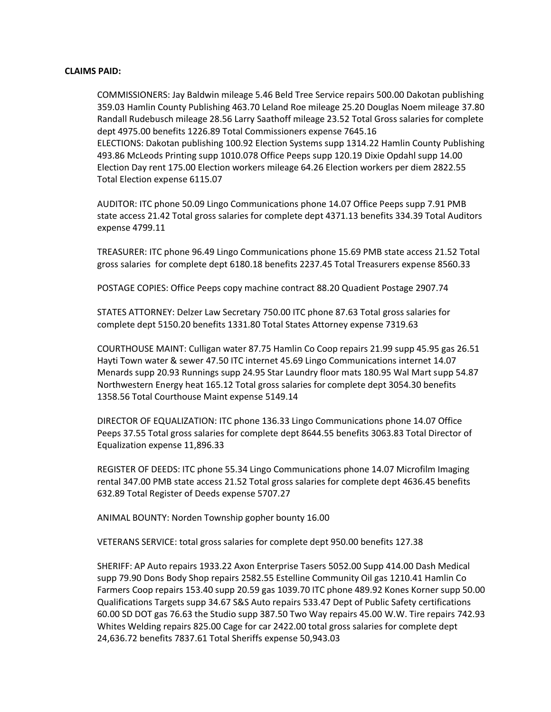## **CLAIMS PAID:**

COMMISSIONERS: Jay Baldwin mileage 5.46 Beld Tree Service repairs 500.00 Dakotan publishing 359.03 Hamlin County Publishing 463.70 Leland Roe mileage 25.20 Douglas Noem mileage 37.80 Randall Rudebusch mileage 28.56 Larry Saathoff mileage 23.52 Total Gross salaries for complete dept 4975.00 benefits 1226.89 Total Commissioners expense 7645.16 ELECTIONS: Dakotan publishing 100.92 Election Systems supp 1314.22 Hamlin County Publishing 493.86 McLeods Printing supp 1010.078 Office Peeps supp 120.19 Dixie Opdahl supp 14.00 Election Day rent 175.00 Election workers mileage 64.26 Election workers per diem 2822.55 Total Election expense 6115.07

AUDITOR: ITC phone 50.09 Lingo Communications phone 14.07 Office Peeps supp 7.91 PMB state access 21.42 Total gross salaries for complete dept 4371.13 benefits 334.39 Total Auditors expense 4799.11

TREASURER: ITC phone 96.49 Lingo Communications phone 15.69 PMB state access 21.52 Total gross salaries for complete dept 6180.18 benefits 2237.45 Total Treasurers expense 8560.33

POSTAGE COPIES: Office Peeps copy machine contract 88.20 Quadient Postage 2907.74

STATES ATTORNEY: Delzer Law Secretary 750.00 ITC phone 87.63 Total gross salaries for complete dept 5150.20 benefits 1331.80 Total States Attorney expense 7319.63

COURTHOUSE MAINT: Culligan water 87.75 Hamlin Co Coop repairs 21.99 supp 45.95 gas 26.51 Hayti Town water & sewer 47.50 ITC internet 45.69 Lingo Communications internet 14.07 Menards supp 20.93 Runnings supp 24.95 Star Laundry floor mats 180.95 Wal Mart supp 54.87 Northwestern Energy heat 165.12 Total gross salaries for complete dept 3054.30 benefits 1358.56 Total Courthouse Maint expense 5149.14

DIRECTOR OF EQUALIZATION: ITC phone 136.33 Lingo Communications phone 14.07 Office Peeps 37.55 Total gross salaries for complete dept 8644.55 benefits 3063.83 Total Director of Equalization expense 11,896.33

REGISTER OF DEEDS: ITC phone 55.34 Lingo Communications phone 14.07 Microfilm Imaging rental 347.00 PMB state access 21.52 Total gross salaries for complete dept 4636.45 benefits 632.89 Total Register of Deeds expense 5707.27

ANIMAL BOUNTY: Norden Township gopher bounty 16.00

VETERANS SERVICE: total gross salaries for complete dept 950.00 benefits 127.38

SHERIFF: AP Auto repairs 1933.22 Axon Enterprise Tasers 5052.00 Supp 414.00 Dash Medical supp 79.90 Dons Body Shop repairs 2582.55 Estelline Community Oil gas 1210.41 Hamlin Co Farmers Coop repairs 153.40 supp 20.59 gas 1039.70 ITC phone 489.92 Kones Korner supp 50.00 Qualifications Targets supp 34.67 S&S Auto repairs 533.47 Dept of Public Safety certifications 60.00 SD DOT gas 76.63 the Studio supp 387.50 Two Way repairs 45.00 W.W. Tire repairs 742.93 Whites Welding repairs 825.00 Cage for car 2422.00 total gross salaries for complete dept 24,636.72 benefits 7837.61 Total Sheriffs expense 50,943.03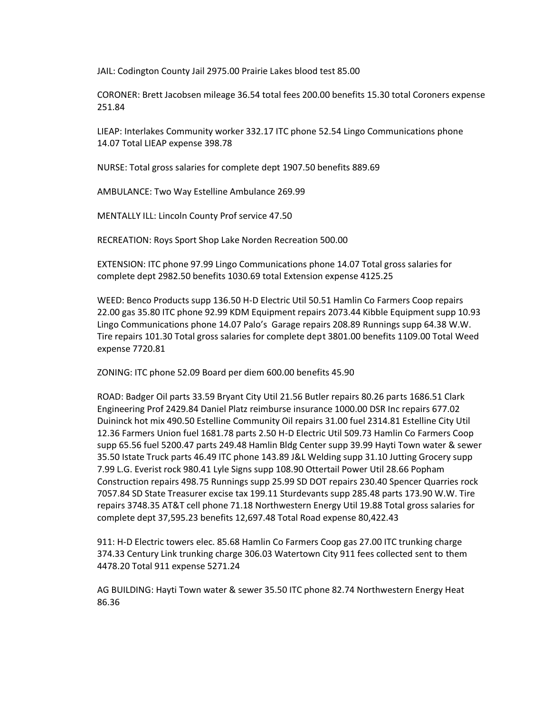JAIL: Codington County Jail 2975.00 Prairie Lakes blood test 85.00

CORONER: Brett Jacobsen mileage 36.54 total fees 200.00 benefits 15.30 total Coroners expense 251.84

LIEAP: Interlakes Community worker 332.17 ITC phone 52.54 Lingo Communications phone 14.07 Total LIEAP expense 398.78

NURSE: Total gross salaries for complete dept 1907.50 benefits 889.69

AMBULANCE: Two Way Estelline Ambulance 269.99

MENTALLY ILL: Lincoln County Prof service 47.50

RECREATION: Roys Sport Shop Lake Norden Recreation 500.00

EXTENSION: ITC phone 97.99 Lingo Communications phone 14.07 Total gross salaries for complete dept 2982.50 benefits 1030.69 total Extension expense 4125.25

WEED: Benco Products supp 136.50 H-D Electric Util 50.51 Hamlin Co Farmers Coop repairs 22.00 gas 35.80 ITC phone 92.99 KDM Equipment repairs 2073.44 Kibble Equipment supp 10.93 Lingo Communications phone 14.07 Palo's Garage repairs 208.89 Runnings supp 64.38 W.W. Tire repairs 101.30 Total gross salaries for complete dept 3801.00 benefits 1109.00 Total Weed expense 7720.81

ZONING: ITC phone 52.09 Board per diem 600.00 benefits 45.90

ROAD: Badger Oil parts 33.59 Bryant City Util 21.56 Butler repairs 80.26 parts 1686.51 Clark Engineering Prof 2429.84 Daniel Platz reimburse insurance 1000.00 DSR Inc repairs 677.02 Duininck hot mix 490.50 Estelline Community Oil repairs 31.00 fuel 2314.81 Estelline City Util 12.36 Farmers Union fuel 1681.78 parts 2.50 H-D Electric Util 509.73 Hamlin Co Farmers Coop supp 65.56 fuel 5200.47 parts 249.48 Hamlin Bldg Center supp 39.99 Hayti Town water & sewer 35.50 Istate Truck parts 46.49 ITC phone 143.89 J&L Welding supp 31.10 Jutting Grocery supp 7.99 L.G. Everist rock 980.41 Lyle Signs supp 108.90 Ottertail Power Util 28.66 Popham Construction repairs 498.75 Runnings supp 25.99 SD DOT repairs 230.40 Spencer Quarries rock 7057.84 SD State Treasurer excise tax 199.11 Sturdevants supp 285.48 parts 173.90 W.W. Tire repairs 3748.35 AT&T cell phone 71.18 Northwestern Energy Util 19.88 Total gross salaries for complete dept 37,595.23 benefits 12,697.48 Total Road expense 80,422.43

911: H-D Electric towers elec. 85.68 Hamlin Co Farmers Coop gas 27.00 ITC trunking charge 374.33 Century Link trunking charge 306.03 Watertown City 911 fees collected sent to them 4478.20 Total 911 expense 5271.24

AG BUILDING: Hayti Town water & sewer 35.50 ITC phone 82.74 Northwestern Energy Heat 86.36